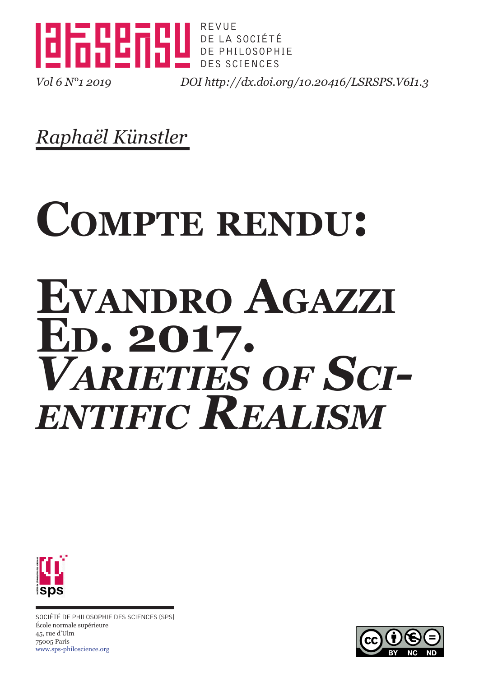

*Vol 6 N°1 2019 DOI <http://dx.doi.org/10.20416/LSRSPS.V6I1.3>*

*Raphaël Künstler*

# **Compte rendu: Evandro Agazzi Ed. 2017.** *Varieties of Scientific Realism*



SOCIÉTÉ DE PHILOSOPHIE DES SCIENCES (SPS) École normale supérieure 45, rue d'Ulm 75005 Paris [www.sps-philoscience.org](http://www.sps-philoscience.org/)

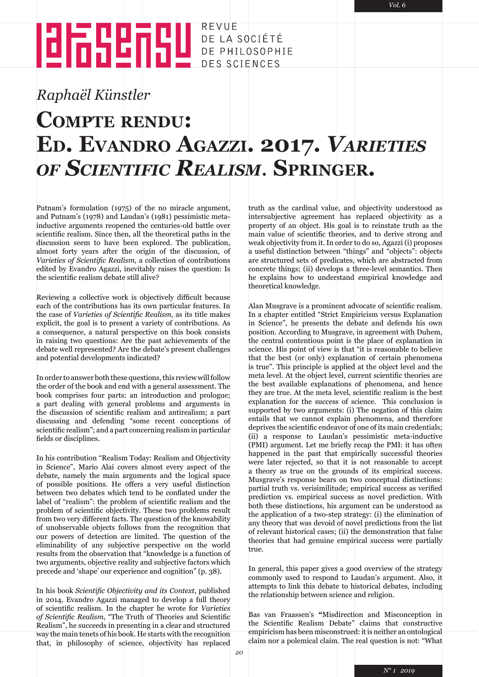# **EN DE MENDE DE LA SOCIÉTÉ DE PHILOSOPHIE**

### *Raphaël Künstler*

### **Compte rendu: Ed. Evandro Agazzi. 2017.** *Varieties of Scientific Realism.* **Springer.**

Putnam's formulation (1975) of the no miracle argument, and Putnam's (1978) and Laudan's (1981) pessimistic metainductive arguments reopened the centuries-old battle over scientific realism. Since then, all the theoretical paths in the discussion seem to have been explored. The publication, almost forty years after the origin of the discussion, of *Varieties of Scientific Realism*, a collection of contributions edited by Evandro Agazzi, inevitably raises the question: Is the scientific realism debate still alive?

Reviewing a collective work is objectively difficult because each of the contributions has its own particular features. In the case of *Varieties of Scientific Realism*, as its title makes explicit, the goal is to present a variety of contributions. As a consequence, a natural perspective on this book consists in raising two questions: Are the past achievements of the debate well represented? Are the debate's present challenges and potential developments indicated?

In order to answer both these questions, this review will follow the order of the book and end with a general assessment. The book comprises four parts: an introduction and prologue; a part dealing with general problems and arguments in the discussion of scientific realism and antirealism; a part discussing and defending "some recent conceptions of scientific realism"; and a part concerning realism in particular fields or disciplines.

In his contribution "Realism Today: Realism and Objectivity in Science", Mario Alai covers almost every aspect of the debate, namely the main arguments and the logical space of possible positions. He offers a very useful distinction between two debates which tend to be conflated under the label of "realism": the problem of scientific realism and the problem of scientific objectivity. These two problems result from two very different facts. The question of the knowability of unobservable objects follows from the recognition that our powers of detection are limited. The question of the eliminability of any subjective perspective on the world results from the observation that "knowledge is a function of two arguments, objective reality and subjective factors which precede and 'shape' our experience and cognition" (p. 38).

In his book *Scientific Objectivity and its Context*, published in 2014, Evandro Agazzi managed to develop a full theory of scientific realism. In the chapter he wrote for *Varieties of Scientific Realism*, "The Truth of Theories and Scientific Realism", he succeeds in presenting in a clear and structured way the main tenets of his book. He starts with the recognition that, in philosophy of science, objectivity has replaced

truth as the cardinal value, and objectivity understood as intersubjective agreement has replaced objectivity as a property of an object. His goal is to reinstate truth as the main value of scientific theories, and to derive strong and weak objectivity from it. In order to do so, Agazzi (i) proposes a useful distinction between "things" and "objects": objects are structured sets of predicates, which are abstracted from concrete things; (ii) develops a three-level semantics. Then he explains how to understand empirical knowledge and theoretical knowledge.

Alan Musgrave is a prominent advocate of scientific realism. In a chapter entitled "Strict Empiricism versus Explanation in Science", he presents the debate and defends his own position. According to Musgrave, in agreement with Duhem, the central contentious point is the place of explanation in science. His point of view is that "it is reasonable to believe that the best (or only) explanation of certain phenomena is true". This principle is applied at the object level and the meta level. At the object level, current scientific theories are the best available explanations of phenomena, and hence they are true. At the meta level, scientific realism is the best explanation for the success of science. This conclusion is supported by two arguments: (i) The negation of this claim entails that we cannot explain phenomena, and therefore deprives the scientific endeavor of one of its main credentials; (ii) a response to Laudan's pessimistic meta-inductive (PMI) argument. Let me briefly recap the PMI: it has often happened in the past that empirically successful theories were later rejected, so that it is not reasonable to accept a theory as true on the grounds of its empirical success. Musgrave's response bears on two conceptual distinctions: partial truth vs. verisimilitude; empirical success as verified prediction vs. empirical success as novel prediction. With both these distinctions, his argument can be understood as the application of a two-step strategy: (i) the elimination of any theory that was devoid of novel predictions from the list of relevant historical cases; (ii) the demonstration that false theories that had genuine empirical success were partially true.

In general, this paper gives a good overview of the strategy commonly used to respond to Laudan's argument. Also, it attempts to link this debate to historical debates, including the relationship between science and religion.

Bas van Fraassen's **"**Misdirection and Misconception in the Scientific Realism Debate" claims that constructive empiricism has been misconstrued: it is neither an ontological claim nor a polemical claim. The real question is not: "What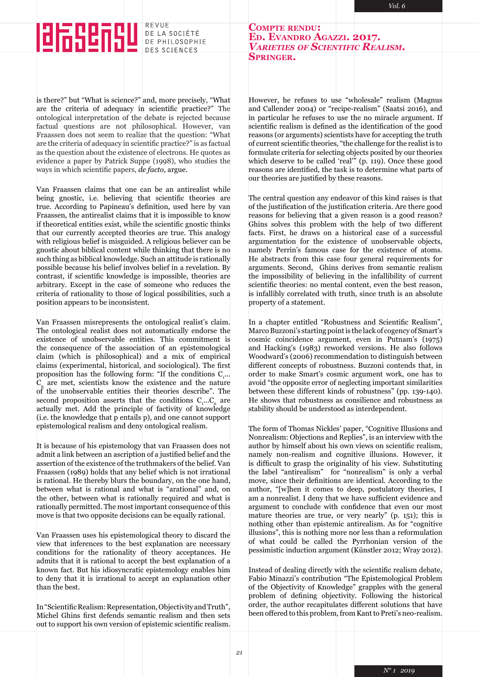## 网络细胞

REVUE DE LA SOCIÉTÉ DE PHILOSOPHIE DES SCIENCES

**Compte rendu: Ed. Evandro Agazzi. 2017.** *Varieties of Scientific Realism.* **Springer.**

is there?" but "What is science?" and, more precisely, "What are the criteria of adequacy in scientific practice?" The ontological interpretation of the debate is rejected because factual questions are not philosophical. However, van Fraassen does not seem to realize that the question: "What are the criteria of adequacy in scientific practice?" is as factual as the question about the existence of electrons. He quotes as evidence a paper by Patrick Suppe (1998), who studies the ways in which scientific papers, *de facto*, argue.

Van Fraassen claims that one can be an antirealist while being gnostic, i.e. believing that scientific theories are true. According to Papineau's definition, used here by van Fraassen, the antirealist claims that it is impossible to know if theoretical entities exist, while the scientific gnostic thinks that our currently accepted theories are true. This analogy with religious belief is misguided. A religious believer can be gnostic about biblical content while thinking that there is no such thing as biblical knowledge. Such an attitude is rationally possible because his belief involves belief in a revelation. By contrast, if scientific knowledge is impossible, theories are arbitrary. Except in the case of someone who reduces the criteria of rationality to those of logical possibilities, such a position appears to be inconsistent.

Van Fraassen misrepresents the ontological realist's claim. The ontological realist does not automatically endorse the existence of unobservable entities. This commitment is the consequence of the association of an epistemological claim (which is philosophical) and a mix of empirical claims (experimental, historical, and sociological). The first proposition has the following form: "If the conditions  $C_{1}...$  $C<sub>n</sub>$  are met, scientists know the existence and the nature of the unobservable entities their theories describe". The second proposition asserts that the conditions  $C_1...C_n$  are actually met. Add the principle of factivity of knowledge (i.e. the knowledge that p entails p), and one cannot support epistemological realism and deny ontological realism.

It is because of his epistemology that van Fraassen does not admit a link between an ascription of a justified belief and the assertion of the existence of the truthmakers of the belief. Van Fraassen (1989) holds that any belief which is not irrational is rational. He thereby blurs the boundary, on the one hand, between what is rational and what is "arational" and, on the other, between what is rationally required and what is rationally permitted. The most important consequence of this move is that two opposite decisions can be equally rational.

Van Fraassen uses his epistemological theory to discard the view that inferences to the best explanation are necessary conditions for the rationality of theory acceptances. He admits that it is rational to accept the best explanation of a known fact. But his idiosyncratic epistemology enables him to deny that it is irrational to accept an explanation other than the best.

In "Scientific Realism: Representation, Objectivity and Truth", Michel Ghins first defends semantic realism and then sets out to support his own version of epistemic scientific realism.

However, he refuses to use "wholesale" realism (Magnus and Callender 2004) or "recipe-realism" (Saatsi 2016), and in particular he refuses to use the no miracle argument. If scientific realism is defined as the identification of the good reasons (or arguments) scientists have for accepting the truth of current scientific theories, "the challenge for the realist is to formulate criteria for selecting objects posited by our theories which deserve to be called 'real'" (p. 119). Once these good reasons are identified, the task is to determine what parts of our theories are justified by these reasons.

The central question any endeavor of this kind raises is that of the justification of the justification criteria. Are there good reasons for believing that a given reason is a good reason? Ghins solves this problem with the help of two different facts. First, he draws on a historical case of a successful argumentation for the existence of unobservable objects, namely Perrin's famous case for the existence of atoms. He abstracts from this case four general requirements for arguments. Second, Ghins derives from semantic realism the impossibility of believing in the infallibility of current scientific theories: no mental content, even the best reason, is infallibly correlated with truth, since truth is an absolute property of a statement.

In a chapter entitled "Robustness and Scientific Realism", Marco Buzzoni's starting point is the lack of cogency of Smart's cosmic coincidence argument, even in Putnam's (1975) and Hacking's (1983) reworked versions. He also follows Woodward's (2006) recommendation to distinguish between different concepts of robustness. Buzzoni contends that, in order to make Smart's cosmic argument work, one has to avoid "the opposite error of neglecting important similarities between these different kinds of robustness" (pp. 139-140). He shows that robustness as consilience and robustness as stability should be understood as interdependent.

The form of Thomas Nickles' paper, "Cognitive Illusions and Nonrealism: Objections and Replies", is an interview with the author by himself about his own views on scientific realism, namely non-realism and cognitive illusions. However, it is difficult to grasp the originality of his view. Substituting the label "antirealism" for "nonrealism" is only a verbal move, since their definitions are identical. According to the author, "[w]hen it comes to deep, postulatory theories, I am a nonrealist. I deny that we have sufficient evidence and argument to conclude with confidence that even our most mature theories are true, or very nearly" (p. 151); this is nothing other than epistemic antirealism. As for "cognitive illusions", this is nothing more nor less than a reformulation of what could be called the Pyrrhonian version of the pessimistic induction argument (Künstler 2012; Wray 2012).

Instead of dealing directly with the scientific realism debate, Fabio Minazzi's contribution "The Epistemological Problem of the Objectivity of Knowledge" grapples with the general problem of defining objectivity. Following the historical order, the author recapitulates different solutions that have been offered to this problem, from Kant to Preti's neo-realism.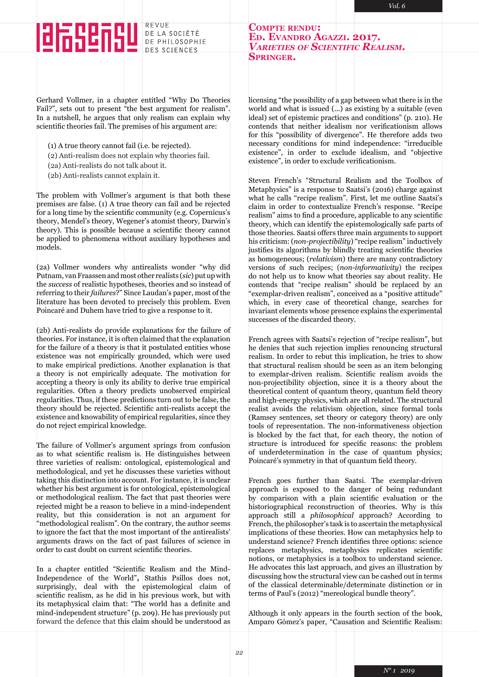## 阻乱阻阻

REVUE DE LA SOCIÉTÉ DE PHILOSOPHIE DES SCIENCES

**Compte rendu: Ed. Evandro Agazzi. 2017.** *Varieties of Scientific Realism.* **Springer.**

Gerhard Vollmer, in a chapter entitled "Why Do Theories Fail?", sets out to present "the best argument for realism". In a nutshell, he argues that only realism can explain why scientific theories fail. The premises of his argument are:

(1) A true theory cannot fail (i.e. be rejected).

- (2) Anti-realism does not explain why theories fail.
- (2a) Anti-realists do not talk about it.
- (2b) Anti-realists cannot explain it.

The problem with Vollmer's argument is that both these premises are false. (1) A true theory can fail and be rejected for a long time by the scientific community (e.g. Copernicus's theory, Mendel's theory, Wegener's atomist theory, Darwin's theory). This is possible because a scientific theory cannot be applied to phenomena without auxiliary hypotheses and models.

(2a) Vollmer wonders why antirealists wonder "why did Putnam, van Fraassen and most other realists (*sic*) put up with the *success* of realistic hypotheses, theories and so instead of referring to their *failures*?" Since Laudan's paper, most of the literature has been devoted to precisely this problem. Even Poincaré and Duhem have tried to give a response to it.

(2b) Anti-realists do provide explanations for the failure of theories. For instance, it is often claimed that the explanation for the failure of a theory is that it postulated entities whose existence was not empirically grounded, which were used to make empirical predictions. Another explanation is that a theory is not empirically adequate. The motivation for accepting a theory is only its ability to derive true empirical regularities. Often a theory predicts unobserved empirical regularities. Thus, if these predictions turn out to be false, the theory should be rejected. Scientific anti-realists accept the existence and knowability of empirical regularities, since they do not reject empirical knowledge.

The failure of Vollmer's argument springs from confusion as to what scientific realism is. He distinguishes between three varieties of realism: ontological, epistemological and methodological, and yet he discusses these varieties without taking this distinction into account. For instance, it is unclear whether his best argument is for ontological, epistemological or methodological realism. The fact that past theories were rejected might be a reason to believe in a mind-independent reality, but this consideration is not an argument for "methodological realism". On the contrary, the author seems to ignore the fact that the most important of the antirealists' arguments draws on the fact of past failures of science in order to cast doubt on current scientific theories.

In a chapter entitled "Scientific Realism and the Mind-Independence of the World", Stathis Psillos does not, surprisingly, deal with the epistemological claim of scientific realism, as he did in his previous work, but with its metaphysical claim that: "The world has a definite and mind-independent structure" (p. 209). He has previously put forward the defence that this claim should be understood as licensing "the possibility of a gap between what there is in the world and what is issued (...) as existing by a suitable (even ideal) set of epistemic practices and conditions" (p. 210). He contends that neither idealism nor verificationism allows for this "possibility of divergence". He therefore adds two necessary conditions for mind independence: "irreducible existence", in order to exclude idealism, and "objective existence", in order to exclude verificationism.

Steven French's "Structural Realism and the Toolbox of Metaphysics" is a response to Saatsi's (2016) charge against what he calls "recipe realism". First, let me outline Saatsi's claim in order to contextualize French's response. "Recipe realism" aims to find a procedure, applicable to any scientific theory, which can identify the epistemologically safe parts of those theories. Saatsi offers three main arguments to support his criticism: (*non-projectibility*) "recipe realism" inductively justifies its algorithms by blindly treating scientific theories as homogeneous; (*relativism*) there are many contradictory versions of such recipes; (*non-informativity*) the recipes do not help us to know what theories say about reality. He contends that "recipe realism" should be replaced by an "exemplar-driven realism", conceived as a "positive attitude" which, in every case of theoretical change, searches for invariant elements whose presence explains the experimental successes of the discarded theory.

French agrees with Saatsi's rejection of "recipe realism", but he denies that such rejection implies renouncing structural realism. In order to rebut this implication, he tries to show that structural realism should be seen as an item belonging to exemplar-driven realism. Scientific realism avoids the non-projectibility objection, since it is a theory about the theoretical content of quantum theory, quantum field theory and high-energy physics, which are all related. The structural realist avoids the relativism objection, since formal tools (Ramsey sentences, set theory or category theory) are only tools of representation. The non-informativeness objection is blocked by the fact that, for each theory, the notion of structure is introduced for specific reasons: the problem of underdetermination in the case of quantum physics; Poincaré's symmetry in that of quantum field theory.

French goes further than Saatsi. The exemplar-driven approach is exposed to the danger of being redundant by comparison with a plain scientific evaluation or the historiographical reconstruction of theories. Why is this approach still a *philosophical* approach? According to French, the philosopher's task is to ascertain the metaphysical implications of these theories. How can metaphysics help to understand science? French identifies three options: science replaces metaphysics, metaphysics replicates scientific notions, or metaphysics is a toolbox to understand science. He advocates this last approach, and gives an illustration by discussing how the structural view can be cashed out in terms of the classical determinable/determinate distinction or in terms of Paul's (2012) "mereological bundle theory".

Although it only appears in the fourth section of the book, Amparo Gómez's paper, "Causation and Scientific Realism: